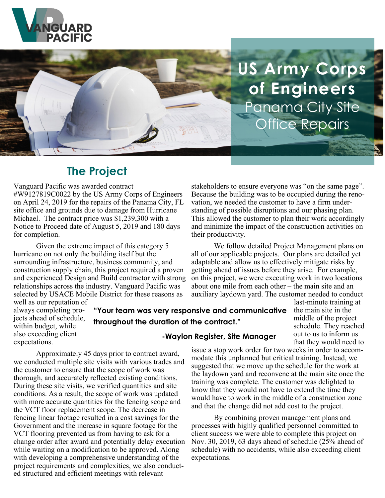

**US Army Corps of Engineers** Panama City Site Office Repairs

stakeholders to ensure everyone was "on the same page". Because the building was to be occupied during the renovation, we needed the customer to have a firm understanding of possible disruptions and our phasing plan. This allowed the customer to plan their work accordingly and minimize the impact of the construction activities on

We follow detailed Project Management plans on

all of our applicable projects. Our plans are detailed yet adaptable and allow us to effectively mitigate risks by getting ahead of issues before they arise. For example, on this project, we were executing work in two locations about one mile from each other – the main site and an auxiliary laydown yard. The customer needed to conduct

# **The Project**

Vanguard Pacific was awarded contract #W9127819C0022 by the US Army Corps of Engineers on April 24, 2019 for the repairs of the Panama City, FL site office and grounds due to damage from Hurricane Michael. The contract price was \$1,239,300 with a Notice to Proceed date of August 5, 2019 and 180 days for completion.

Given the extreme impact of this category 5 hurricane on not only the building itself but the surrounding infrastructure, business community, and construction supply chain, this project required a proven and experienced Design and Build contractor with strong relationships across the industry. Vanguard Pacific was selected by USACE Mobile District for these reasons as

Government and the increase in square footage for the VCT flooring prevented us from having to ask for a change order after award and potentially delay execution while waiting on a modification to be approved. Along with developing a comprehensive understanding of the project requirements and complexities, we also conduct-

ed structured and efficient meetings with relevant

well as our reputation of always completing projects ahead of schedule, within budget, while also exceeding client expectations.

**"Your team was very responsive and communicative throughout the duration of the contract."**

last-minute training at the main site in the middle of the project schedule. They reached out to us to inform us that they would need to

#### **-Waylon Register, Site Manager**

their productivity.

Approximately 45 days prior to contract award, we conducted multiple site visits with various trades and the customer to ensure that the scope of work was thorough, and accurately reflected existing conditions. During these site visits, we verified quantities and site conditions. As a result, the scope of work was updated with more accurate quantities for the fencing scope and the VCT floor replacement scope. The decrease in fencing linear footage resulted in a cost savings for the issue a stop work order for two weeks in order to accommodate this unplanned but critical training. Instead, we suggested that we move up the schedule for the work at the laydown yard and reconvene at the main site once the training was complete. The customer was delighted to know that they would not have to extend the time they would have to work in the middle of a construction zone and that the change did not add cost to the project.

By combining proven management plans and processes with highly qualified personnel committed to client success we were able to complete this project on Nov. 30, 2019, 63 days ahead of schedule (25% ahead of schedule) with no accidents, while also exceeding client expectations.